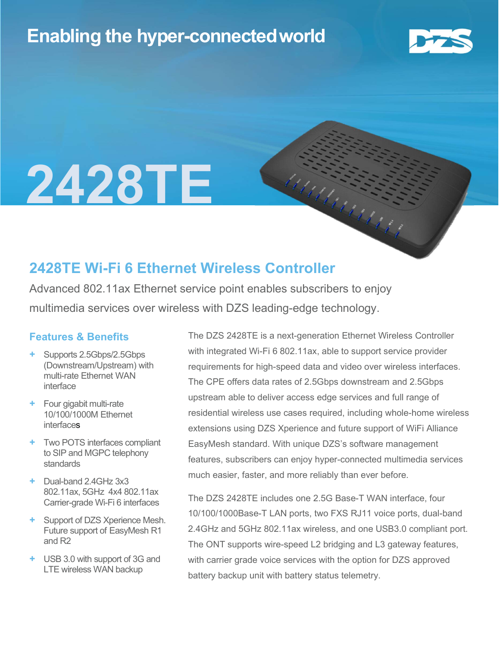## Enabling the hyper-connectedworld



# 2428TE

### 2428TE Wi-Fi 6 Ethernet Wireless Controller

Advanced 802.11ax Ethernet service point enables subscribers to enjoy multimedia services over wireless with DZS leading-edge technology.

#### Features & Benefits

- + Supports 2.5Gbps/2.5Gbps (Downstream/Upstream) with multi-rate Ethernet WAN interface
- + Four gigabit multi-rate 10/100/1000M Ethernet **interfaces**
- + Two POTS interfaces compliant to SIP and MGPC telephony standards
- + Dual-band 2.4GHz 3x3 802.11ax, 5GHz 4x4 802.11ax Carrier-grade Wi-Fi 6 interfaces
- + Support of DZS Xperience Mesh. Future support of EasyMesh R1 and R2
- + USB 3.0 with support of 3G and LTE wireless WAN backup

The DZS 2428TE is a next-generation Ethernet Wireless Controller with integrated Wi-Fi 6 802.11ax, able to support service provider requirements for high-speed data and video over wireless interfaces. The CPE offers data rates of 2.5Gbps downstream and 2.5Gbps upstream able to deliver access edge services and full range of residential wireless use cases required, including whole-home wireless extensions using DZS Xperience and future support of WiFi Alliance EasyMesh standard. With unique DZS's software management features, subscribers can enjoy hyper-connected multimedia services much easier, faster, and more reliably than ever before.

Madales Estados

The DZS 2428TE includes one 2.5G Base-T WAN interface, four 10/100/1000Base-T LAN ports, two FXS RJ11 voice ports, dual-band 2.4GHz and 5GHz 802.11ax wireless, and one USB3.0 compliant port. The ONT supports wire-speed L2 bridging and L3 gateway features, with carrier grade voice services with the option for DZS approved battery backup unit with battery status telemetry.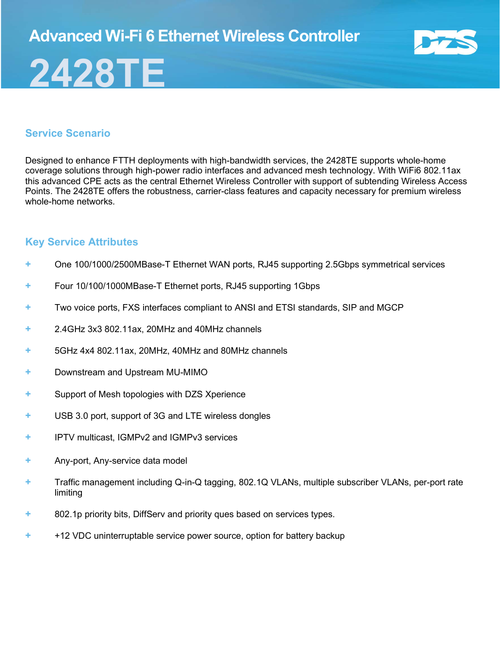## 2428TE



#### Service Scenario

Designed to enhance FTTH deployments with high-bandwidth services, the 2428TE supports whole-home coverage solutions through high-power radio interfaces and advanced mesh technology. With WiFi6 802.11ax this advanced CPE acts as the central Ethernet Wireless Controller with support of subtending Wireless Access Points. The 2428TE offers the robustness, carrier-class features and capacity necessary for premium wireless whole-home networks

#### Key Service Attributes

- + One 100/1000/2500MBase-T Ethernet WAN ports, RJ45 supporting 2.5Gbps symmetrical services
- + Four 10/100/1000MBase-T Ethernet ports, RJ45 supporting 1Gbps
- + Two voice ports, FXS interfaces compliant to ANSI and ETSI standards, SIP and MGCP
- + 2.4GHz 3x3 802.11ax, 20MHz and 40MHz channels
- + 5GHz 4x4 802.11ax, 20MHz, 40MHz and 80MHz channels
- + Downstream and Upstream MU-MIMO
- + Support of Mesh topologies with DZS Xperience
- + USB 3.0 port, support of 3G and LTE wireless dongles
- + IPTV multicast, IGMPv2 and IGMPv3 services
- + Any-port, Any-service data model
- + Traffic management including Q-in-Q tagging, 802.1Q VLANs, multiple subscriber VLANs, per-port rate limiting
- + 802.1p priority bits, DiffServ and priority ques based on services types.
- + +12 VDC uninterruptable service power source, option for battery backup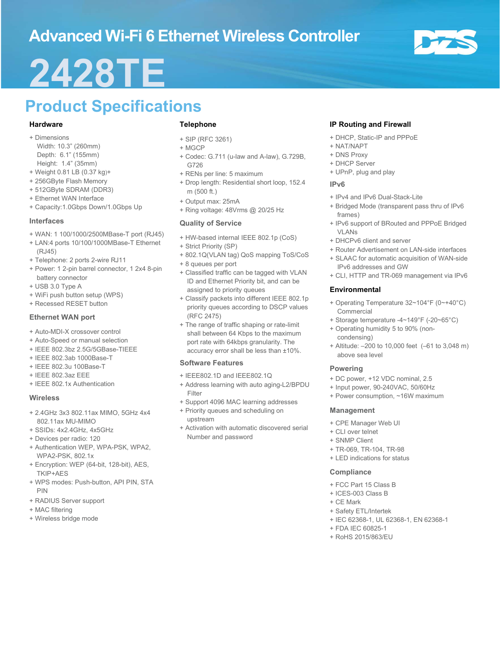## Advanced Wi-Fi 6 Ethernet Wireless Controller



## 2428TE

## Product Specifications

#### Hardware

- + Dimensions
	- Width: 10.3" (260mm) Depth: 6.1" (155mm) Height: 1.4" (35mm)
- + Weight 0.81 LB (0.37 kg)+
- + 256GByte Flash Memory
- + 512GByte SDRAM (DDR3)
- + Ethernet WAN Interface
- + Capacity:1.0Gbps Down/1.0Gbps Up

#### Interfaces

- + WAN: 1 100/1000/2500MBase-T port (RJ45)
- + LAN:4 ports 10/100/1000MBase-T Ethernet (RJ45)
- + Telephone: 2 ports 2-wire RJ11
- + Power: 1 2-pin barrel connector, 1 2x4 8-pin battery connector
- + USB 3.0 Type A
- + WiFi push button setup (WPS)
- + Recessed RESET button

#### Ethernet WAN port

- + Auto-MDI-X crossover control
- + Auto-Speed or manual selection
- + IEEE 802.3bz 2.5G/5GBase-TIEEE
- + IEEE 802.3ab 1000Base-T
- + IEEE 802.3u 100Base-T
- + IEEE 802.3az EEE
- + IEEE 802.1x Authentication

#### **Wireless**

- + 2.4GHz 3x3 802.11ax MIMO, 5GHz 4x4 802.11ax MU-MIMO
- + SSIDs: 4x2.4GHz, 4x5GHz
- + Devices per radio: 120
- + Authentication WEP, WPA-PSK, WPA2, WPA2-PSK, 802.1x
- + Encryption: WEP (64-bit, 128-bit), AES, TKIP+AES
- + WPS modes: Push-button, API PIN, STA PIN
- + RADIUS Server support
- + MAC filtering
- + Wireless bridge mode

#### Telephone

- + SIP (RFC 3261)
- + MGCP
- + Codec: G.711 (u-law and A-law), G.729B, G726
- + RENs per line: 5 maximum
- + Drop length: Residential short loop, 152.4 m (500 ft.)
- + Output max: 25mA
- + Ring voltage: 48Vrms @ 20/25 Hz

#### Quality of Service

- + HW-based internal IEEE 802.1p (CoS)
- + Strict Priority (SP)
- + 802.1Q(VLAN tag) QoS mapping ToS/CoS
- + 8 queues per port
- + Classified traffic can be tagged with VLAN ID and Ethernet Priority bit, and can be assigned to priority queues
- + Classify packets into different IEEE 802.1p priority queues according to DSCP values (RFC 2475)
- + The range of traffic shaping or rate-limit shall between 64 Kbps to the maximum port rate with 64kbps granularity. The accuracy error shall be less than ±10%.

#### Software Features

- + IEEE802.1D and IEEE802.1Q
- + Address learning with auto aging-L2/BPDU Filter
- + Support 4096 MAC learning addresses + Priority queues and scheduling on upstream
- + Activation with automatic discovered serial Number and password

#### IP Routing and Firewall

- + DHCP, Static-IP and PPPoE
- + NAT/NAPT
- + DNS Proxy
- + DHCP Server
- + UPnP, plug and play

#### IPv6

- + IPv4 and IPv6 Dual-Stack-Lite
- + Bridged Mode (transparent pass thru of IPv6 frames)
- + IPv6 support of BRouted and PPPoE Bridged VLANs
- + DHCPv6 client and server
- + Router Advertisement on LAN-side interfaces
- + SLAAC for automatic acquisition of WAN-side IPv6 addresses and GW
- + CLI, HTTP and TR-069 management via IPv6

#### **Environmental**

- + Operating Temperature 32~104°F (0~+40°C) Commercial
- + Storage temperature -4~149°F (-20~65°C)
- + Operating humidity 5 to 90% (noncondensing)
- + Altitude: –200 to 10,000 feet (–61 to 3,048 m) above sea level

#### Powering

- + DC power, +12 VDC nominal, 2.5
- + Input power, 90-240VAC, 50/60Hz
- + Power consumption, ~16W maximum

#### Management

- + CPE Manager Web UI
- + CLI over telnet
- + SNMP Client
- + TR-069, TR-104, TR-98
- + LED indications for status

#### **Compliance**

- + FCC Part 15 Class B
- + ICES-003 Class B
- + CE Mark
- + Safety ETL/Intertek
- + IEC 62368-1, UL 62368-1, EN 62368-1
- + FDA IEC 60825-1
- + RoHS 2015/863/EU